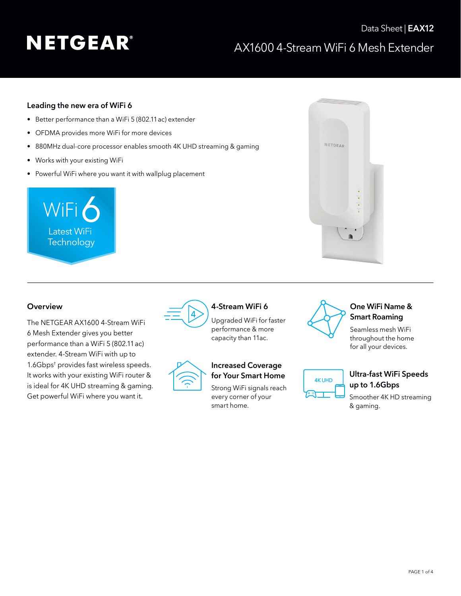# **NETGEAR®**

### AX1600 4-Stream WiFi 6 Mesh Extender Data Sheet | **EAX12**

#### **Leading the new era of WiFi 6**

- Better performance than a WiFi 5 (802.11ac) extender
- OFDMA provides more WiFi for more devices
- 880MHz dual-core processor enables smooth 4K UHD streaming & gaming
- Works with your existing WiFi
- Powerful WiFi where you want it with wallplug placement





The NETGEAR AX1600 4-Stream WiFi 6 Mesh Extender gives you better performance than a WiFi 5 (802.11ac) extender. 4-Stream WiFi with up to 1.6Gbps† provides fast wireless speeds. It works with your existing WiFi router & is ideal for 4K UHD streaming & gaming. Get powerful WiFi where you want it.



Upgraded WiFi for faster performance & more capacity than 11ac.



#### **Increased Coverage for Your Smart Home**

Strong WiFi signals reach every corner of your smart home.



**4K UHD** 

### **One WiFi Name & Smart Roaming**

Seamless mesh WiFi throughout the home for all your devices.



Smoother 4K HD streaming & gaming.

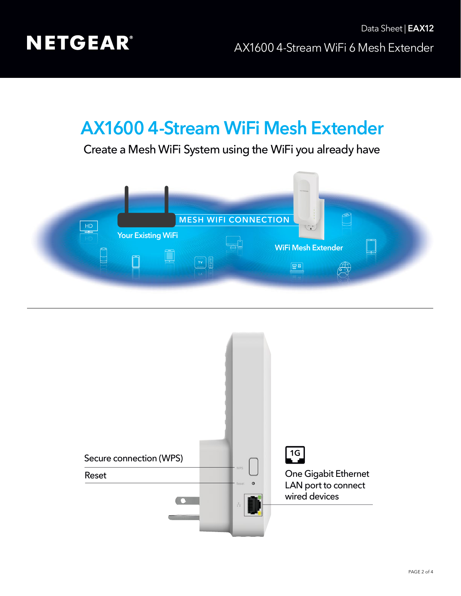

## **AX1600 4-Stream WiFi Mesh Extender**

Create a Mesh WiFi System using the WiFi you already have



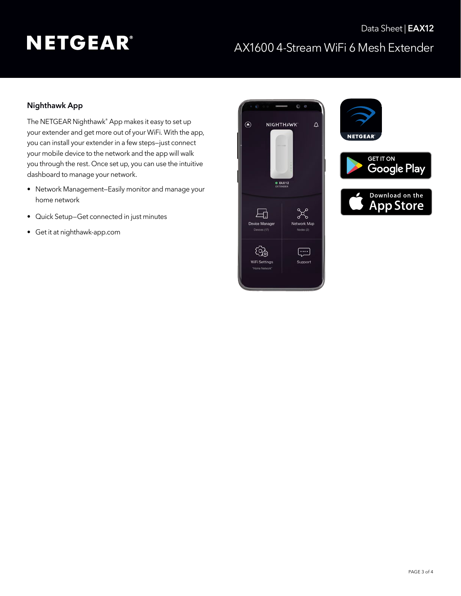# **NETGEAR®**

### AX1600 4-Stream WiFi 6 Mesh Extender Data Sheet | **EAX12**

### **Nighthawk App**

The NETGEAR Nighthawk® App makes it easy to set up your extender and get more out of your WiFi. With the app, you can install your extender in a few steps—just connect your mobile device to the network and the app will walk you through the rest. Once set up, you can use the intuitive dashboard to manage your network.

- Network Management—Easily monitor and manage your home network
- Quick Setup—Get connected in just minutes
- Get it at [nighthawk-app.com](http://nighthawk-app.com)